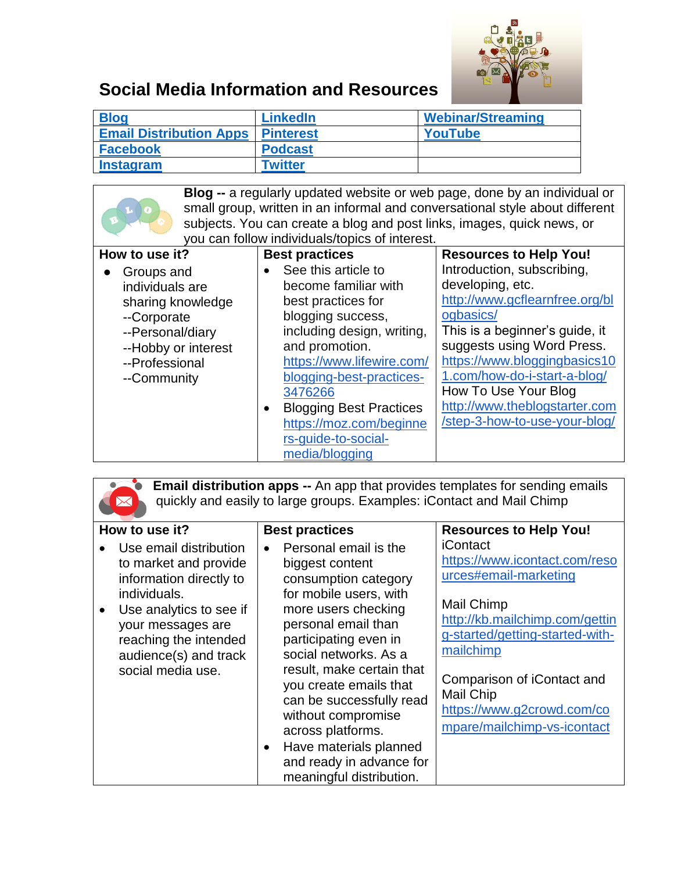

## **Social Media Information and Resources**

| <b>Blog</b>                                | <b>LinkedIn</b> | <b>Webinar/Streaming</b> |
|--------------------------------------------|-----------------|--------------------------|
| <b>Email Distribution Apps   Pinterest</b> |                 | YouTube                  |
| <b>Facebook</b>                            | <b>Podcast</b>  |                          |
| <b>Instagram</b>                           | <b>Twitter</b>  |                          |

<span id="page-0-0"></span>

| <b>Blog --</b> a regularly updated website or web page, done by an individual or |                                                                        |                                                                              |
|----------------------------------------------------------------------------------|------------------------------------------------------------------------|------------------------------------------------------------------------------|
|                                                                                  |                                                                        | small group, written in an informal and conversational style about different |
|                                                                                  | subjects. You can create a blog and post links, images, quick news, or |                                                                              |
|                                                                                  | you can follow individuals/topics of interest.                         |                                                                              |
| How to use it?                                                                   | <b>Best practices</b>                                                  | <b>Resources to Help You!</b>                                                |
| Groups and                                                                       | See this article to                                                    | Introduction, subscribing,                                                   |
| individuals are                                                                  | become familiar with                                                   | developing, etc.                                                             |
| sharing knowledge                                                                | best practices for                                                     | http://www.gcflearnfree.org/bl                                               |
| --Corporate                                                                      | blogging success,                                                      | ogbasics/                                                                    |
| --Personal/diary                                                                 | including design, writing,                                             | This is a beginner's guide, it                                               |
| --Hobby or interest                                                              | and promotion.                                                         | suggests using Word Press.                                                   |
| --Professional                                                                   | https://www.lifewire.com/                                              | https://www.bloggingbasics10                                                 |
| --Community                                                                      | blogging-best-practices-                                               | 1.com/how-do-i-start-a-blog/                                                 |
|                                                                                  | 3476266                                                                | How To Use Your Blog                                                         |
|                                                                                  | <b>Blogging Best Practices</b><br>$\bullet$                            | http://www.theblogstarter.com                                                |
|                                                                                  | https://moz.com/beginne                                                | /step-3-how-to-use-your-blog/                                                |
|                                                                                  | rs-quide-to-social-                                                    |                                                                              |
|                                                                                  | media/blogging                                                         |                                                                              |

<span id="page-0-1"></span>**Email distribution apps --** An app that provides templates for sending emails quickly and easily to large groups. Examples: iContact and Mail Chimp

| How to use it?                                                                                                                                                                                                                 | <b>Best practices</b>                                                                                                                                                                                                                                                                                                                                                                                                   | <b>Resources to Help You!</b>                                                                                                                                                                                                                                                     |
|--------------------------------------------------------------------------------------------------------------------------------------------------------------------------------------------------------------------------------|-------------------------------------------------------------------------------------------------------------------------------------------------------------------------------------------------------------------------------------------------------------------------------------------------------------------------------------------------------------------------------------------------------------------------|-----------------------------------------------------------------------------------------------------------------------------------------------------------------------------------------------------------------------------------------------------------------------------------|
| Use email distribution<br>to market and provide<br>information directly to<br>individuals.<br>Use analytics to see if<br>$\bullet$<br>your messages are<br>reaching the intended<br>audience(s) and track<br>social media use. | Personal email is the<br>biggest content<br>consumption category<br>for mobile users, with<br>more users checking<br>personal email than<br>participating even in<br>social networks. As a<br>result, make certain that<br>you create emails that<br>can be successfully read<br>without compromise<br>across platforms.<br>Have materials planned<br>$\bullet$<br>and ready in advance for<br>meaningful distribution. | <b>iContact</b><br>https://www.icontact.com/reso<br>urces#email-marketing<br>Mail Chimp<br>http://kb.mailchimp.com/gettin<br>g-started/getting-started-with-<br>mailchimp<br>Comparison of iContact and<br>Mail Chip<br>https://www.g2crowd.com/co<br>mpare/mailchimp-vs-icontact |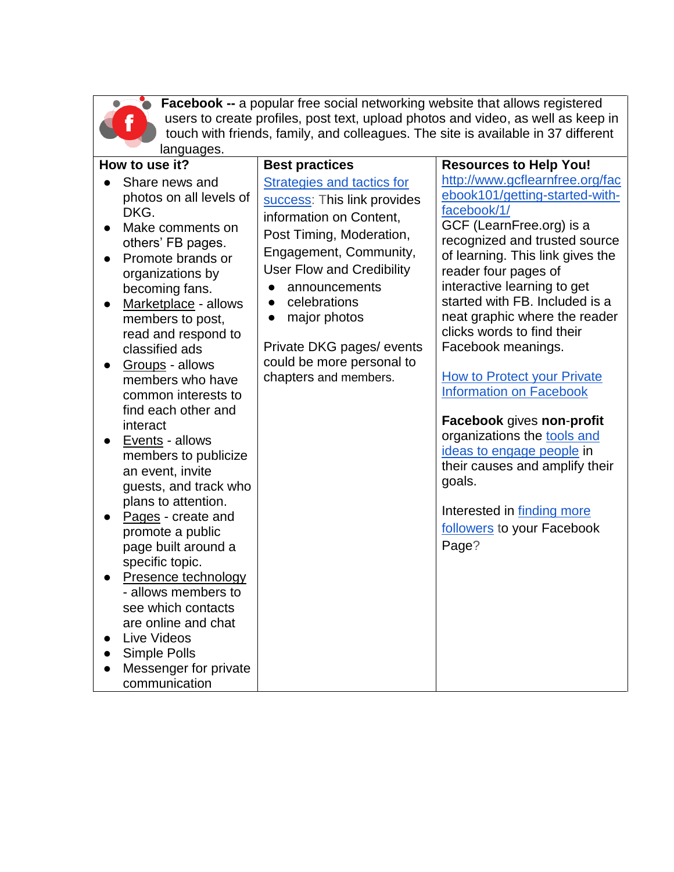

<span id="page-1-0"></span>**Facebook --** a popular free social networking website that allows registered users to create profiles, post text, upload photos and video, as well as keep in touch with friends, family, and colleagues. The site is available in 37 different languages.

| How to use it?                                                                                                                                                                                                                                                                                                                                                                                                                                                                                                                                                                                                                                                                                                                  | <b>Best practices</b>                                                                                                                                                                                                                                                                                                           | <b>Resources to Help You!</b>                                                                                                                                                                                                                                                                                                                                                                                                                                                                                                                                                                                                                            |
|---------------------------------------------------------------------------------------------------------------------------------------------------------------------------------------------------------------------------------------------------------------------------------------------------------------------------------------------------------------------------------------------------------------------------------------------------------------------------------------------------------------------------------------------------------------------------------------------------------------------------------------------------------------------------------------------------------------------------------|---------------------------------------------------------------------------------------------------------------------------------------------------------------------------------------------------------------------------------------------------------------------------------------------------------------------------------|----------------------------------------------------------------------------------------------------------------------------------------------------------------------------------------------------------------------------------------------------------------------------------------------------------------------------------------------------------------------------------------------------------------------------------------------------------------------------------------------------------------------------------------------------------------------------------------------------------------------------------------------------------|
| Share news and<br>photos on all levels of<br>DKG.<br>Make comments on<br>others' FB pages.<br>Promote brands or<br>organizations by<br>becoming fans.<br>Marketplace - allows<br>$\bullet$<br>members to post,<br>read and respond to<br>classified ads<br>Groups - allows<br>members who have<br>common interests to<br>find each other and<br>interact<br>Events - allows<br>members to publicize<br>an event, invite<br>guests, and track who<br>plans to attention.<br>Pages - create and<br>promote a public<br>page built around a<br>specific topic.<br>Presence technology<br>- allows members to<br>see which contacts<br>are online and chat<br>Live Videos<br>Simple Polls<br>Messenger for private<br>communication | Strategies and tactics for<br>success: This link provides<br>information on Content,<br>Post Timing, Moderation,<br>Engagement, Community,<br><b>User Flow and Credibility</b><br>announcements<br>celebrations<br>major photos<br>$\bullet$<br>Private DKG pages/ events<br>could be more personal to<br>chapters and members. | http://www.gcflearnfree.org/fac<br>ebook101/getting-started-with-<br>facebook/1/<br>GCF (LearnFree.org) is a<br>recognized and trusted source<br>of learning. This link gives the<br>reader four pages of<br>interactive learning to get<br>started with FB. Included is a<br>neat graphic where the reader<br>clicks words to find their<br>Facebook meanings.<br><b>How to Protect your Private</b><br><b>Information on Facebook</b><br>Facebook gives non-profit<br>organizations the <b>tools</b> and<br>ideas to engage people in<br>their causes and amplify their<br>goals.<br>Interested in finding more<br>followers to your Facebook<br>Page? |
|                                                                                                                                                                                                                                                                                                                                                                                                                                                                                                                                                                                                                                                                                                                                 |                                                                                                                                                                                                                                                                                                                                 |                                                                                                                                                                                                                                                                                                                                                                                                                                                                                                                                                                                                                                                          |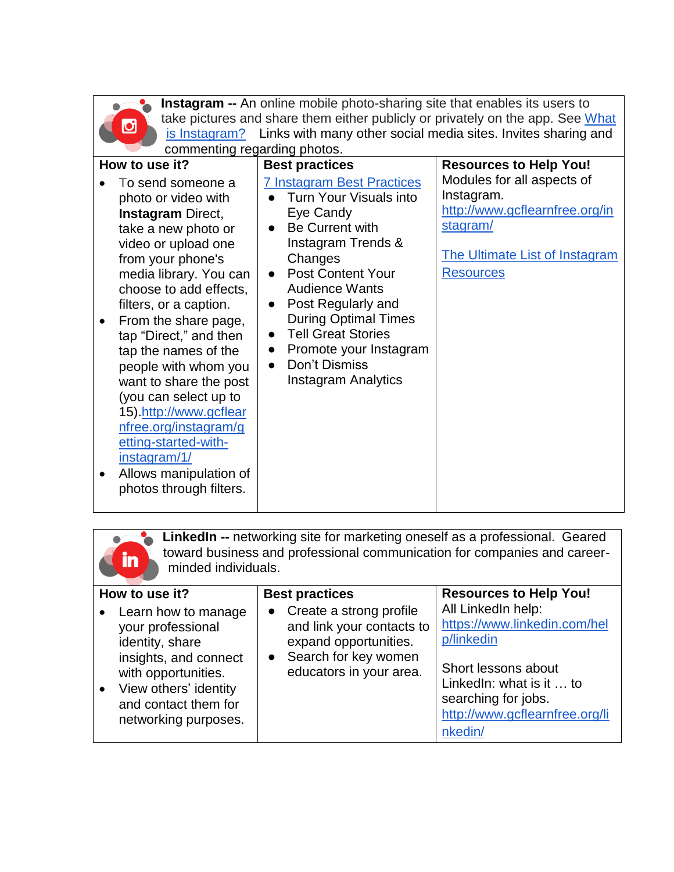| ï<br>í<br>٠ |  |
|-------------|--|
|             |  |

<span id="page-2-1"></span>**Instagram --** An online mobile photo-sharing site that enables its users to take pictures and share them either publicly or privately on the app. See What [is Instagram?](https://www.lifewire.com/what-is-instagram-3486316) Links with many other social media sites. Invites sharing and commenting regarding photos.

| commenting regarding priotos.                                                                                                                                                                                                                                                                                                                                                                                                                                                                                              |                                                                                                                                                                                                                                                                                                                                                                              |                                                                                                                                                     |  |  |
|----------------------------------------------------------------------------------------------------------------------------------------------------------------------------------------------------------------------------------------------------------------------------------------------------------------------------------------------------------------------------------------------------------------------------------------------------------------------------------------------------------------------------|------------------------------------------------------------------------------------------------------------------------------------------------------------------------------------------------------------------------------------------------------------------------------------------------------------------------------------------------------------------------------|-----------------------------------------------------------------------------------------------------------------------------------------------------|--|--|
| How to use it?                                                                                                                                                                                                                                                                                                                                                                                                                                                                                                             | <b>Best practices</b>                                                                                                                                                                                                                                                                                                                                                        | <b>Resources to Help You!</b>                                                                                                                       |  |  |
| To send someone a<br>photo or video with<br><b>Instagram Direct,</b><br>take a new photo or<br>video or upload one<br>from your phone's<br>media library. You can<br>choose to add effects,<br>filters, or a caption.<br>From the share page,<br>tap "Direct," and then<br>tap the names of the<br>people with whom you<br>want to share the post<br>(you can select up to<br>15).http://www.gcflear<br>nfree.org/instagram/g<br>etting-started-with-<br>instagram/1/<br>Allows manipulation of<br>photos through filters. | <b>7 Instagram Best Practices</b><br>Turn Your Visuals into<br>Eye Candy<br>Be Current with<br>Instagram Trends &<br>Changes<br><b>Post Content Your</b><br><b>Audience Wants</b><br>Post Regularly and<br>$\bullet$<br><b>During Optimal Times</b><br><b>Tell Great Stories</b><br>Promote your Instagram<br>$\bullet$<br>Don't Dismiss<br>$\bullet$<br>Instagram Analytics | Modules for all aspects of<br>Instagram.<br>http://www.gcflearnfree.org/in<br>stagram/<br><b>The Ultimate List of Instagram</b><br><b>Resources</b> |  |  |

<span id="page-2-0"></span>

| LinkedIn -- networking site for marketing oneself as a professional. Geared<br>toward business and professional communication for companies and career-<br>in<br>minded individuals. |                                                                                                                                                                                      |                                                                                                                                      |                                                                                                                                                                                         |
|--------------------------------------------------------------------------------------------------------------------------------------------------------------------------------------|--------------------------------------------------------------------------------------------------------------------------------------------------------------------------------------|--------------------------------------------------------------------------------------------------------------------------------------|-----------------------------------------------------------------------------------------------------------------------------------------------------------------------------------------|
|                                                                                                                                                                                      | How to use it?                                                                                                                                                                       | <b>Best practices</b>                                                                                                                | <b>Resources to Help You!</b>                                                                                                                                                           |
|                                                                                                                                                                                      | Learn how to manage<br>your professional<br>identity, share<br>insights, and connect<br>with opportunities.<br>View others' identity<br>and contact them for<br>networking purposes. | • Create a strong profile<br>and link your contacts to<br>expand opportunities.<br>• Search for key women<br>educators in your area. | All LinkedIn help:<br>https://www.linkedin.com/hel<br>p/linkedin<br>Short lessons about<br>LinkedIn: what is it  to<br>searching for jobs.<br>http://www.gcflearnfree.org/li<br>nkedin/ |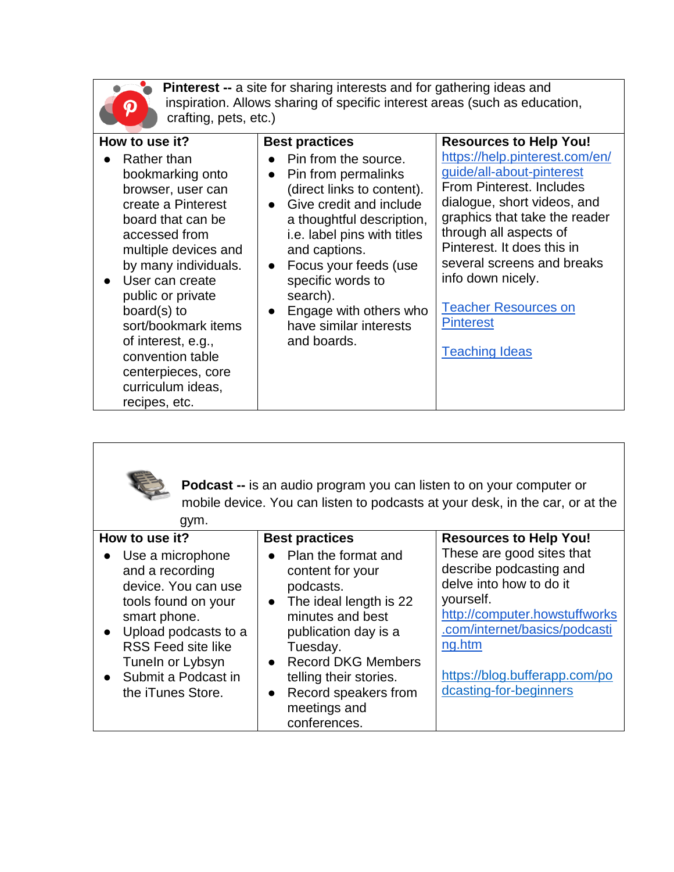

<span id="page-3-0"></span>**Pinterest --** a site for sharing interests and for gathering ideas and inspiration. Allows sharing of specific interest areas (such as education, crafting, pets, etc.)

| How to use it?                                                                                                                                                                                                                                                                                                                                         | <b>Best practices</b>                                                                                                                                                                                                                                                                                                                        | <b>Resources to Help You!</b>                                                                                                                                                                                                                                                                                                                  |
|--------------------------------------------------------------------------------------------------------------------------------------------------------------------------------------------------------------------------------------------------------------------------------------------------------------------------------------------------------|----------------------------------------------------------------------------------------------------------------------------------------------------------------------------------------------------------------------------------------------------------------------------------------------------------------------------------------------|------------------------------------------------------------------------------------------------------------------------------------------------------------------------------------------------------------------------------------------------------------------------------------------------------------------------------------------------|
| Rather than<br>bookmarking onto<br>browser, user can<br>create a Pinterest<br>board that can be<br>accessed from<br>multiple devices and<br>by many individuals.<br>• User can create<br>public or private<br>board(s) to<br>sort/bookmark items<br>of interest, e.g.,<br>convention table<br>centerpieces, core<br>curriculum ideas,<br>recipes, etc. | Pin from the source.<br>Pin from permalinks<br>$\bullet$<br>(direct links to content).<br>• Give credit and include<br>a thoughtful description,<br>i.e. label pins with titles<br>and captions.<br>• Focus your feeds (use<br>specific words to<br>search).<br>Engage with others who<br>$\bullet$<br>have similar interests<br>and boards. | https://help.pinterest.com/en/<br>guide/all-about-pinterest<br>From Pinterest, Includes<br>dialogue, short videos, and<br>graphics that take the reader<br>through all aspects of<br>Pinterest. It does this in<br>several screens and breaks<br>info down nicely.<br><b>Teacher Resources on</b><br><b>Pinterest</b><br><b>Teaching Ideas</b> |

<span id="page-3-1"></span>

**Podcast --** is an audio program you can listen to on your computer or mobile device. You can listen to podcasts at your desk, in the car, or at the gym.

| 9.111                                                                                                                                                                                                                      |                                                                                                                                                                                                                                                                   |                                                                                                                                                                                                                                     |
|----------------------------------------------------------------------------------------------------------------------------------------------------------------------------------------------------------------------------|-------------------------------------------------------------------------------------------------------------------------------------------------------------------------------------------------------------------------------------------------------------------|-------------------------------------------------------------------------------------------------------------------------------------------------------------------------------------------------------------------------------------|
| How to use it?                                                                                                                                                                                                             | <b>Best practices</b>                                                                                                                                                                                                                                             | <b>Resources to Help You!</b>                                                                                                                                                                                                       |
| Use a microphone<br>and a recording<br>device. You can use<br>tools found on your<br>smart phone.<br>• Upload podcasts to a<br><b>RSS Feed site like</b><br>Tuneln or Lybsyn<br>• Submit a Podcast in<br>the iTunes Store. | • Plan the format and<br>content for your<br>podcasts.<br>• The ideal length is 22<br>minutes and best<br>publication day is a<br>Tuesday.<br>• Record DKG Members<br>telling their stories.<br>Record speakers from<br>$\bullet$<br>meetings and<br>conferences. | These are good sites that<br>describe podcasting and<br>delve into how to do it<br>yourself.<br>http://computer.howstuffworks<br>.com/internet/basics/podcasti<br>ng.htm<br>https://blog.bufferapp.com/po<br>dcasting-for-beginners |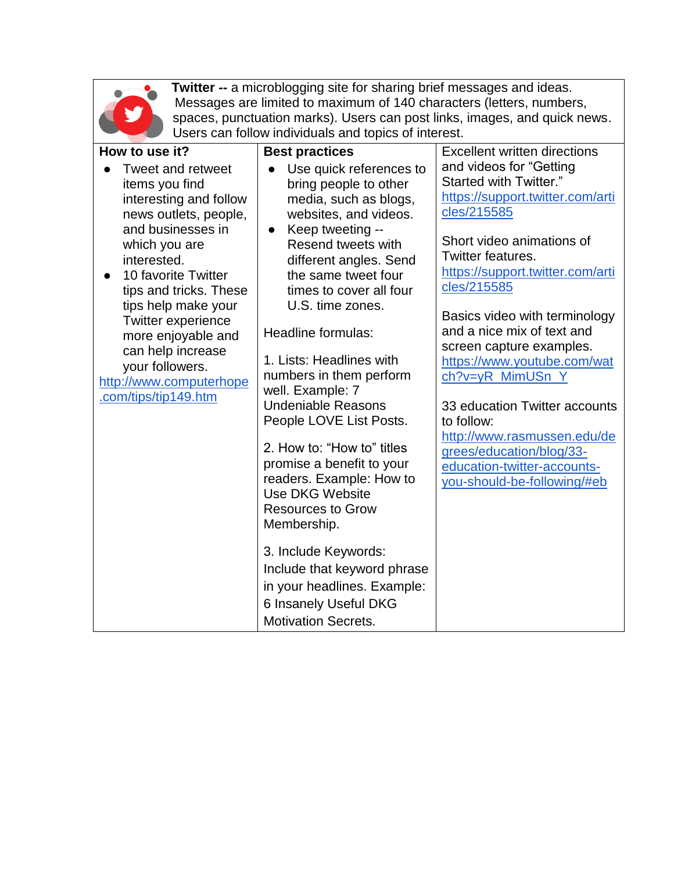

<span id="page-4-0"></span>**Twitter --** a microblogging site for sharing brief messages and ideas. Messages are limited to maximum of 140 characters (letters, numbers, spaces, punctuation marks). Users can post links, images, and quick news. Users can follow individuals and topics of interest.

| How to use it?                                                                                                                                                                                                                                                                                                                                                    | <b>Best practices</b>                                                                                                                                                                                                                                                                                                                                                                                                                                                                                                                                                                                                                                                                                | <b>Excellent written directions</b>                                                                                                                                                                                                                                                                                                                                                                                                                                                                                             |
|-------------------------------------------------------------------------------------------------------------------------------------------------------------------------------------------------------------------------------------------------------------------------------------------------------------------------------------------------------------------|------------------------------------------------------------------------------------------------------------------------------------------------------------------------------------------------------------------------------------------------------------------------------------------------------------------------------------------------------------------------------------------------------------------------------------------------------------------------------------------------------------------------------------------------------------------------------------------------------------------------------------------------------------------------------------------------------|---------------------------------------------------------------------------------------------------------------------------------------------------------------------------------------------------------------------------------------------------------------------------------------------------------------------------------------------------------------------------------------------------------------------------------------------------------------------------------------------------------------------------------|
| Tweet and retweet<br>items you find<br>interesting and follow<br>news outlets, people,<br>and businesses in<br>which you are<br>interested.<br>10 favorite Twitter<br>tips and tricks. These<br>tips help make your<br><b>Twitter experience</b><br>more enjoyable and<br>can help increase<br>your followers.<br>http://www.computerhope<br>.com/tips/tip149.htm | Use quick references to<br>bring people to other<br>media, such as blogs,<br>websites, and videos.<br>Keep tweeting --<br>$\bullet$<br>Resend tweets with<br>different angles. Send<br>the same tweet four<br>times to cover all four<br>U.S. time zones.<br><b>Headline formulas:</b><br>1. Lists: Headlines with<br>numbers in them perform<br>well. Example: 7<br><b>Undeniable Reasons</b><br>People LOVE List Posts.<br>2. How to: "How to" titles<br>promise a benefit to your<br>readers. Example: How to<br><b>Use DKG Website</b><br><b>Resources to Grow</b><br>Membership.<br>3. Include Keywords:<br>Include that keyword phrase<br>in your headlines. Example:<br>6 Insanely Useful DKG | and videos for "Getting<br>Started with Twitter."<br>https://support.twitter.com/arti<br>cles/215585<br>Short video animations of<br>Twitter features.<br>https://support.twitter.com/arti<br>cles/215585<br>Basics video with terminology<br>and a nice mix of text and<br>screen capture examples.<br>https://www.youtube.com/wat<br>ch?v=yR_MimUSn_Y<br>33 education Twitter accounts<br>to follow:<br>http://www.rasmussen.edu/de<br>grees/education/blog/33-<br>education-twitter-accounts-<br>you-should-be-following/#eb |
|                                                                                                                                                                                                                                                                                                                                                                   | <b>Motivation Secrets.</b>                                                                                                                                                                                                                                                                                                                                                                                                                                                                                                                                                                                                                                                                           |                                                                                                                                                                                                                                                                                                                                                                                                                                                                                                                                 |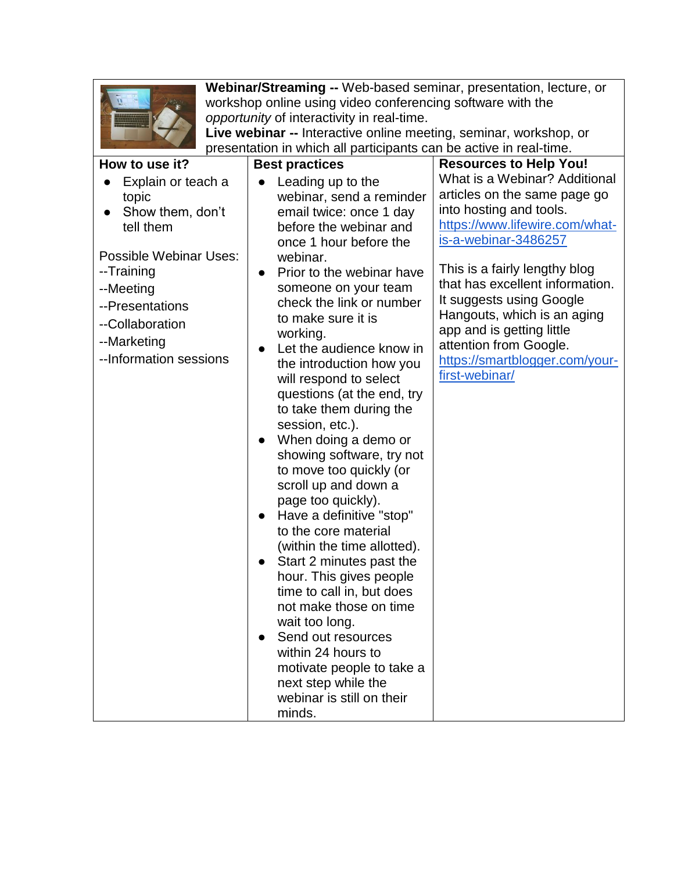| <b>Barry</b><br>Ξ<br>-<br>÷<br><b><i><u>PERSONAL PROPERTY AND RESIDENCE</u></i></b> |  |
|-------------------------------------------------------------------------------------|--|
|                                                                                     |  |
|                                                                                     |  |

<span id="page-5-0"></span>**Webinar/Streaming --** Web-based seminar, presentation, lecture, or workshop online using video conferencing software with the *opportunity* of interactivity in real-time.

**Live webinar --** Interactive online meeting, seminar, workshop, or presentation in which all participants can be active in real-time.

| How to use it?                                                                                                                                                                                          | <b>Best practices</b>                                                                                                                                                                                                                                                                                                                                                                                                                                                                                                                                                                                                                                                                                                                                                                                                                                                                                             | <b>Resources to Help You!</b>                                                                                                                                                                                                                                                                                                                                                                |
|---------------------------------------------------------------------------------------------------------------------------------------------------------------------------------------------------------|-------------------------------------------------------------------------------------------------------------------------------------------------------------------------------------------------------------------------------------------------------------------------------------------------------------------------------------------------------------------------------------------------------------------------------------------------------------------------------------------------------------------------------------------------------------------------------------------------------------------------------------------------------------------------------------------------------------------------------------------------------------------------------------------------------------------------------------------------------------------------------------------------------------------|----------------------------------------------------------------------------------------------------------------------------------------------------------------------------------------------------------------------------------------------------------------------------------------------------------------------------------------------------------------------------------------------|
| Explain or teach a<br>topic<br>Show them, don't<br>tell them<br><b>Possible Webinar Uses:</b><br>--Training<br>--Meeting<br>--Presentations<br>--Collaboration<br>--Marketing<br>--Information sessions | Leading up to the<br>webinar, send a reminder<br>email twice: once 1 day<br>before the webinar and<br>once 1 hour before the<br>webinar.<br>Prior to the webinar have<br>someone on your team<br>check the link or number<br>to make sure it is<br>working.<br>Let the audience know in<br>the introduction how you<br>will respond to select<br>questions (at the end, try<br>to take them during the<br>session, etc.).<br>When doing a demo or<br>showing software, try not<br>to move too quickly (or<br>scroll up and down a<br>page too quickly).<br>Have a definitive "stop"<br>to the core material<br>(within the time allotted).<br>Start 2 minutes past the<br>hour. This gives people<br>time to call in, but does<br>not make those on time<br>wait too long.<br>Send out resources<br>within 24 hours to<br>motivate people to take a<br>next step while the<br>webinar is still on their<br>minds. | What is a Webinar? Additional<br>articles on the same page go<br>into hosting and tools.<br>https://www.lifewire.com/what-<br>is-a-webinar-3486257<br>This is a fairly lengthy blog<br>that has excellent information.<br>It suggests using Google<br>Hangouts, which is an aging<br>app and is getting little<br>attention from Google.<br>https://smartblogger.com/your-<br>first-webinar/ |